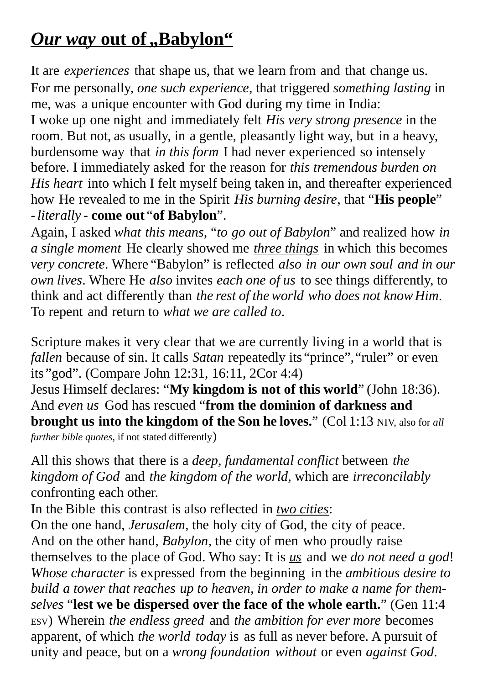# *Our way* **out of "Babylon"**

It are *experiences* that shape us, that we learn from and that change us. For me personally, *one such experience*, that triggered *something lasting* in me, was a unique encounter with God during my time in India: I woke up one night and immediately felt *His very strong presence* in the room. But not, as usually, in a gentle, pleasantly light way, but in a heavy, burdensome way that *in this form* I had never experienced so intensely before. I immediately asked for the reason for *this tremendous burden on His heart* into which I felt myself being taken in, and thereafter experienced how He revealed to me in the Spirit *His burning desire*, that "**His people**" -*literally* - **come out** "**of Babylon**".

Again, I asked *what this means*, "*to go out of Babylon*" and realized how *in a single moment* He clearly showed me *three things* in which this becomes *very concrete*. Where "Babylon" is reflected *also in our own soul and in our own lives*. Where He *also* invites *each one of us* to see things differently, to think and act differently than *the rest of the world who does not knowHim*. To repent and return to *what we are called to*.

Scripture makes it very clear that we are currently living in a world that is *fallen* because of sin. It calls *Satan* repeatedly its "prince", "ruler" or even its "god". (Compare John 12:31, 16:11, 2Cor 4:4)

Jesus Himself declares: "**My kingdom is not of this world**" (John 18:36). And *even us* God has rescued "**from the dominion of darkness and brought us into the kingdom of the Son he loves.**" (Col 1:13 NIV, also for *all further bible quotes*, if not stated differently)

All this shows that there is a *deep, fundamental conflict* between *the kingdom of God* and *the kingdom of the world*, which are *irreconcilably* confronting each other.

In the Bible this contrast is also reflected in *two cities*:

On the one hand, *Jerusalem*, the holy city of God, the city of peace. And on the other hand, *Babylon*, the city of men who proudly raise themselves to the place of God. Who say: It is *us* and we *do not need a god*! *Whose character* is expressed from the beginning in the *ambitious desire to build a tower that reaches up to heaven, in order to make a name for themselves* "**lest we be dispersed over the face of the whole earth.**" (Gen 11:4 ESV) Wherein *the endless greed* and *the ambition for ever more* becomes apparent, of which *the world today* is as full as never before. A pursuit of unity and peace, but on a *wrong foundation without* or even *against God*.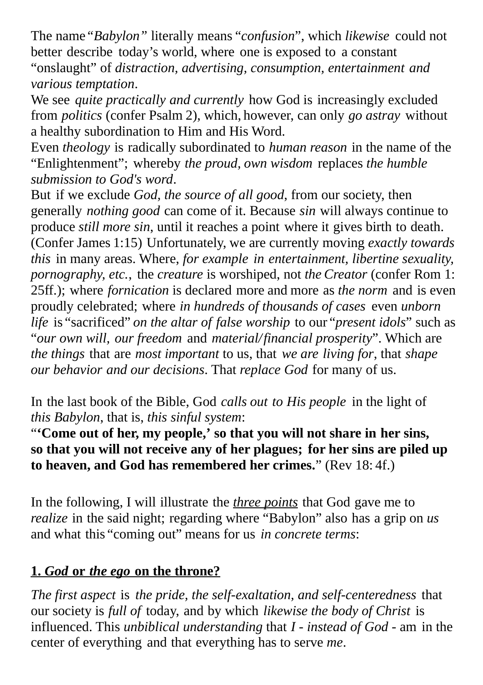The name*"Babylon"* literally means "*confusion*", which *likewise* could not better describe today's world, where one is exposed to a constant "onslaught" of *distraction, advertising, consumption, entertainment and various temptation*.

We see *quite practically and currently* how God is increasingly excluded from *politics* (confer Psalm 2), which, however, can only *go astray* without a healthy subordination to Him and His Word.

Even *theology* is radically subordinated to *human reason* in the name of the "Enlightenment"; whereby *the proud, own wisdom* replaces *the humble submission to God's word*.

But if we exclude *God, the source of all good*, from our society, then generally *nothing good* can come of it. Because *sin* will always continue to produce *still more sin*, until it reaches a point where it gives birth to death. (Confer James 1:15) Unfortunately, we are currently moving *exactly towards this* in many areas. Where, *for example in entertainment, libertine sexuality, pornography, etc.*, the *creature* is worshiped, not *the Creator* (confer Rom 1: 25ff.); where *fornication* is declared more and more as *the norm* and is even proudly celebrated; where *in hundreds of thousands of cases* even *unborn life* is "sacrificed" *on the altar of false worship* to our "*present idols*" such as "*our own will, our freedom* and *material/financial prosperity*". Which are *the things* that are *most important* to us, that *we are living for*, that *shape our behavior and our decisions*. That *replace God* for many of us.

In the last book of the Bible, God *calls out to His people* in the light of *this Babylon*, that is, *this sinful system*:

"**'Come out of her, my people,' so that you will not share in her sins, so that you will not receive any of her plagues; for her sins are piled up to heaven, and God has remembered her crimes.**" (Rev 18: 4f.)

In the following, I will illustrate the *three points* that God gave me to *realize* in the said night; regarding where "Babylon" also has a grip on *us* and what this "coming out" means for us *in concrete terms*:

## **1.** *God* **or** *the ego* **on the throne?**

*The first aspect* is *the pride, the self-exaltation, and self-centeredness* that our society is *full of* today, and by which *likewise the body of Christ* is influenced. This *unbiblical understanding* that *I* - *instead of God* - am in the center of everything and that everything has to serve *me*.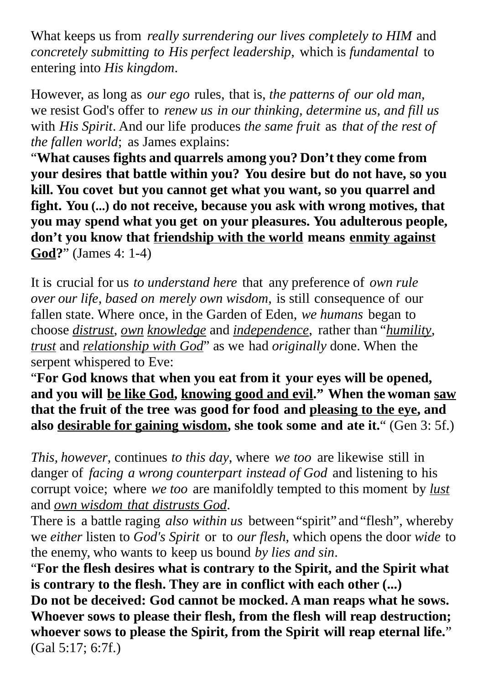What keeps us from *really surrendering our lives completely to HIM* and *concretely submitting to His perfect leadership*, which is *fundamental* to entering into *His kingdom*.

However, as long as *our ego* rules, that is, *the patterns of our old man,* we resist God's offer to *renew us in our thinking, determine us, and fill us* with *His Spirit*. And our life produces *the same fruit* as *that of the rest of the fallen world*; as James explains:

"**What causes fights and quarrels among you? Don't they come from your desires that battle within you? You desire but do not have, so you kill. You covet but you cannot get what you want, so you quarrel and fight. You (...) do not receive, because you ask with wrong motives, that you may spend what you get on your pleasures. You adulterous people, don't you know that friendship with the world means enmity against God?**" (James 4: 1-4)

It is crucial for us *to understand here* that any preference of *own rule over our life*, *based on merely own wisdom*, is still consequence of our fallen state. Where once, in the Garden of Eden, *we humans* began to choose *distrust*, *own knowledge* and *independence*, rather than "*humility*, *trust* and *relationship with God*" as we had *originally* done. When the serpent whispered to Eve:

"**For God knows that when you eat from it your eyes will be opened, and you will be like God, knowing good and evil." When the woman saw that the fruit of the tree was good for food and pleasing to the eye, and also desirable for gaining wisdom, she took some and ate it.**" (Gen 3: 5f.)

*This, however*, continues *to this day*, where *we too* are likewise still in danger of *facing a wrong counterpart instead of God* and listening to his corrupt voice; where *we too* are manifoldly tempted to this moment by *lust* and *own wisdom that distrusts God*.

There is a battle raging *also within us* between "spirit" and"flesh", whereby we *either* listen to *God's Spirit* or to *our flesh*, which opens the door *wide* to the enemy, who wants to keep us bound *by lies and sin*.

"**For the flesh desires what is contrary to the Spirit, and the Spirit what is contrary to the flesh. They are in conflict with each other (...) Do not be deceived: God cannot be mocked. A man reaps what he sows. Whoever sows to please their flesh, from the flesh will reap destruction; whoever sows to please the Spirit, from the Spirit will reap eternal life.**" (Gal 5:17; 6:7f.)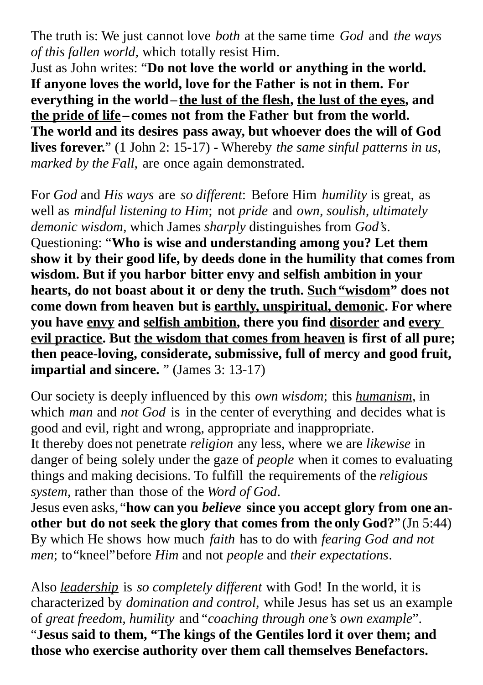The truth is: We just cannot love *both* at the same time *God* and *the ways of this fallen world,* which totally resist Him.

Just as John writes: "**Do not love the world or anything in the world. If anyone loves the world, love for the Father is not in them. For everything in the world–the lust of the flesh, the lust of the eyes, and the pride of life –comes not from the Father but from the world. The world and its desires pass away, but whoever does the will of God lives forever.**" (1 John 2: 15-17) - Whereby *the same sinful patterns in us, marked by the Fall,* are once again demonstrated.

For *God* and *His ways* are *so different*: Before Him *humility* is great, as well as *mindful listening to Him*; not *pride* and *own, soulish, ultimately demonic wisdom*, which James *sharply* distinguishes from *God's*. Questioning: "**Who is wise and understanding among you? Let them show it by their good life, by deeds done in the humility that comes from wisdom. But if you harbor bitter envy and selfish ambition in your hearts, do not boast about it or deny the truth. Such"wisdom" does not come down from heaven but is earthly, unspiritual, demonic. For where you have envy and selfish ambition, there you find disorder and every evil practice. But the wisdom that comes from heaven is first of all pure; then peace-loving, considerate, submissive, full of mercy and good fruit, impartial and sincere.** " (James 3: 13-17)

Our society is deeply influenced by this *own wisdom*; this *humanism*, in which *man* and *not God* is in the center of everything and decides what is good and evil, right and wrong, appropriate and inappropriate.

It thereby does not penetrate *religion* any less, where we are *likewise* in danger of being solely under the gaze of *people* when it comes to evaluating things and making decisions. To fulfill the requirements of the *religious system*, rather than those of the *Word of God*.

Jesus even asks, "**how can you** *believe* **since you accept glory from one another but do not seek the glory that comes from the only God?**" (Jn 5:44) By which He shows how much *faith* has to do with *fearing God and not men*; to"kneel"before *Him* and not *people* and *their expectations*.

Also *leadership* is *so completely different* with God! In the world, it is characterized by *domination and control*, while Jesus has set us an example of *great freedom, humility* and "*coaching through one's own example*". "**Jesus said to them, "The kings of the Gentiles lord it over them; and those who exercise authority over them call themselves Benefactors.**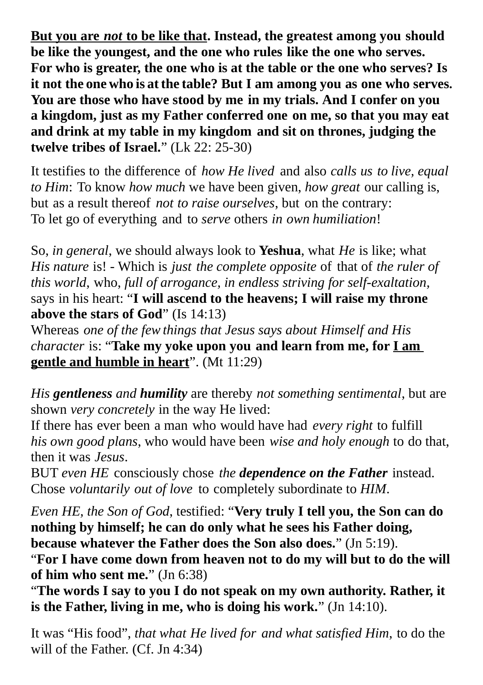**But you are** *not* **to be like that. Instead, the greatest among you should be like the youngest, and the one who rules like the one who serves. For who is greater, the one who is at the table or the one who serves? Is it not the one who is at the table? But I am among you as one who serves. You are those who have stood by me in my trials. And I confer on you a kingdom, just as my Father conferred one on me, so that you may eat and drink at my table in my kingdom and sit on thrones, judging the twelve tribes of Israel.**" (Lk 22: 25-30)

It testifies to the difference of *how He lived* and also *calls us to live, equal to Him*: To know *how much* we have been given, *how great* our calling is, but as a result thereof *not to raise ourselves*, but on the contrary: To let go of everything and to *serve* others *in own humiliation*!

So, *in general*, we should always look to **Yeshua**, what *He* is like; what *His nature* is! - Which is *just the complete opposite* of that of *the ruler of this world*, who, *full of arrogance, in endless striving for self-exaltation,* says in his heart: "**I will ascend to the heavens; I will raise my throne above the stars of God**" (Is 14:13)

Whereas *one of the few things that Jesus says about Himself and His character* is: "**Take my yoke upon you and learn from me, for I am gentle and humble in heart**". (Mt 11:29)

*His gentleness and humility* are thereby *not something sentimental*, but are shown *very concretely* in the way He lived:

If there has ever been a man who would have had *every right* to fulfill *his own good plans*, who would have been *wise and holy enough* to do that, then it was *Jesus*.

BUT *even HE* consciously chose *the dependence on the Father* instead. Chose *voluntarily out of love* to completely subordinate to *HIM*.

*Even HE, the Son of God*, testified: "**Very truly I tell you, the Son can do nothing by himself; he can do only what he sees his Father doing, because whatever the Father does the Son also does.**" (Jn 5:19).

"**For I have come down from heaven not to do my will but to do the will of him who sent me.**" (Jn 6:38)

"**The words I say to you I do not speak on my own authority. Rather, it is the Father, living in me, who is doing his work.**" (Jn 14:10).

It was "His food", *that what He lived for and what satisfied Him*, to do the will of the Father. (Cf. Jn 4:34)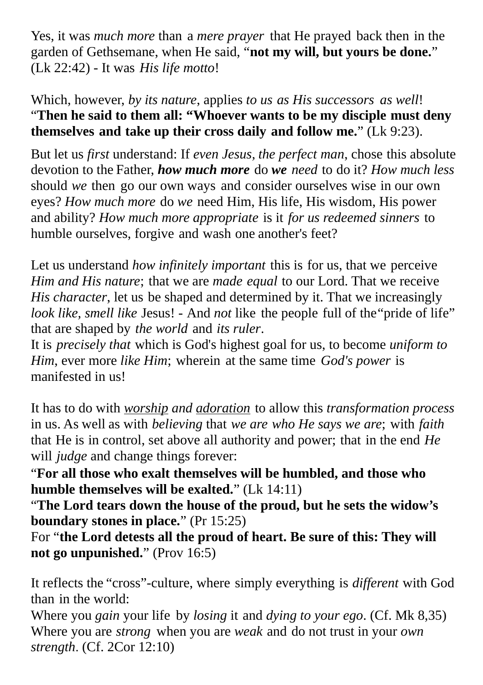Yes, it was *much more* than a *mere prayer* that He prayed back then in the garden of Gethsemane, when He said, "**not my will, but yours be done.**" (Lk 22:42) - It was *His life motto*!

Which, however, *by its nature*, applies *to us as His successors as well*! "**Then he said to them all: "Whoever wants to be my disciple must deny themselves and take up their cross daily and follow me.**" (Lk 9:23).

But let us *first* understand: If *even Jesus, the perfect man*, chose this absolute devotion to the Father, *how much more* do *we need* to do it? *How much less* should *we* then go our own ways and consider ourselves wise in our own eyes? *How much more* do *we* need Him, His life, His wisdom, His power and ability? *How much more appropriate* is it *for us redeemed sinners* to humble ourselves, forgive and wash one another's feet?

Let us understand *how infinitely important* this is for us, that we perceive *Him and His nature*; that we are *made equal* to our Lord. That we receive *His character*, let us be shaped and determined by it. That we increasingly *look like, smell like* Jesus! - And *not* like the people full of the"pride of life" that are shaped by *the world* and *its ruler*.

It is *precisely that* which is God's highest goal for us, to become *uniform to Him*, ever more *like Him*; wherein at the same time *God's power* is manifested in us!

It has to do with *worship and adoration* to allow this *transformation process* in us. As well as with *believing* that *we are who He says we are*; with *faith* that He is in control, set above all authority and power; that in the end *He*  will *judge* and change things forever:

"**For all those who exalt themselves will be humbled, and those who humble themselves will be exalted.**" (Lk 14:11)

"**The Lord tears down the house of the proud, but he sets the widow's boundary stones in place.**" (Pr 15:25)

For "**the Lord detests all the proud of heart. Be sure of this: They will not go unpunished.**" (Prov 16:5)

It reflects the "cross"-culture, where simply everything is *different* with God than in the world:

Where you *gain* your life by *losing* it and *dying to your ego*. (Cf. Mk 8,35) Where you are *strong* when you are *weak* and do not trust in your *own strength*. (Cf. 2Cor 12:10)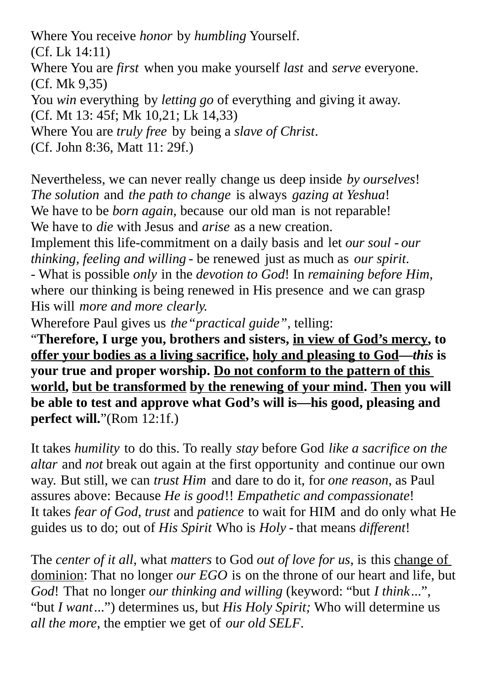Where You receive *honor* by *humbling* Yourself.

(Cf. Lk 14:11)

Where You are *first* when you make yourself *last* and *serve* everyone. (Cf. Mk 9,35)

You *win* everything by *letting go* of everything and giving it away.

(Cf. Mt 13: 45f; Mk 10,21; Lk 14,33)

Where You are *truly free* by being a *slave of Christ*.

(Cf. John 8:36, Matt 11: 29f.)

Nevertheless, we can never really change us deep inside *by ourselves*! *The solution* and *the path to change* is always *gazing at Yeshua*! We have to be *born again,* because our old man is not reparable! We have to *die* with Jesus and *arise* as a new creation.

Implement this life-commitment on a daily basis and let *our soul* - *our thinking, feeling and willing* - be renewed just as much as *our spirit*. - What is possible *only* in the *devotion to God*! In *remaining before Him*, where our thinking is being renewed in His presence and we can grasp His will *more and more clearly.*

Wherefore Paul gives us *the"practical guide"*, telling:

"**Therefore, I urge you, brothers and sisters, in view of God's mercy, to offer your bodies as a living sacrifice, holy and pleasing to God—***this* **is your true and proper worship. Do not conform to the pattern of this world, but be transformed by the renewing of your mind. Then you will be able to test and approve what God's will is—his good, pleasing and perfect will.**"(Rom 12:1f.)

It takes *humility* to do this. To really *stay* before God *like a sacrifice on the altar* and *not* break out again at the first opportunity and continue our own way. But still, we can *trust Him* and dare to do it, for *one reason*, as Paul assures above: Because *He is good*!! *Empathetic and compassionate*! It takes *fear of God, trust* and *patience* to wait for HIM and do only what He guides us to do; out of *His Spirit* Who is *Holy* - that means *different*!

The *center of it all*, what *matters* to God *out of love for us*, is this change of dominion: That no longer *our EGO* is on the throne of our heart and life, but *God*! That no longer *our thinking and willing* (keyword: "but *I think*...", "but *I want*...") determines us, but *His Holy Spirit;* Who will determine us *all the more*, the emptier we get of *our old SELF*.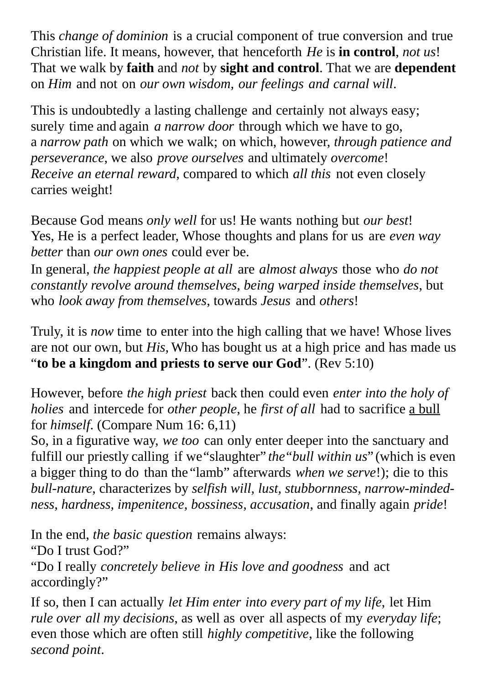This *change of dominion* is a crucial component of true conversion and true Christian life. It means, however, that henceforth *He* is **in control**, *not us*! That we walk by **faith** and *not* by **sight and control**. That we are **dependent** on *Him* and not on *our own wisdom, our feelings and carnal will*.

This is undoubtedly a lasting challenge and certainly not always easy; surely time and again *a narrow door* through which we have to go, a *narrow path* on which we walk; on which, however, *through patience and perseverance*, we also *prove ourselves* and ultimately *overcome*! *Receive an eternal reward*, compared to which *all this* not even closely carries weight!

Because God means *only well* for us! He wants nothing but *our best*! Yes, He is a perfect leader, Whose thoughts and plans for us are *even way better* than *our own ones* could ever be.

In general, *the happiest people at all* are *almost always* those who *do not constantly revolve around themselves, being warped inside themselves*, but who *look away from themselves*, towards *Jesus* and *others*!

Truly, it is *now* time to enter into the high calling that we have! Whose lives are not our own, but *His,* Who has bought us at a high price and has made us "**to be a kingdom and priests to serve our God**". (Rev 5:10)

However, before *the high priest* back then could even *enter into the holy of holies* and intercede for *other people*, he *first of all* had to sacrifice a bull for *himself*. (Compare Num 16: 6,11)

So, in a figurative way, *we too* can only enter deeper into the sanctuary and fulfill our priestly calling if we"slaughter" *the*"*bull within us*" (which is even a bigger thing to do than the "lamb" afterwards *when we serve*!); die to this *bull-nature*, characterizes by *selfish will, lust, stubbornness, narrow-mindedness, hardness, impenitence, bossiness, accusation*, and finally again *pride*!

In the end, *the basic question* remains always: "Do I trust God?" "Do I really *concretely believe in His love and goodness* and act accordingly?"

If so, then I can actually *let Him enter into every part of my life*, let Him *rule over all my decisions*, as well as over all aspects of my *everyday life*; even those which are often still *highly competitive*, like the following *second point*.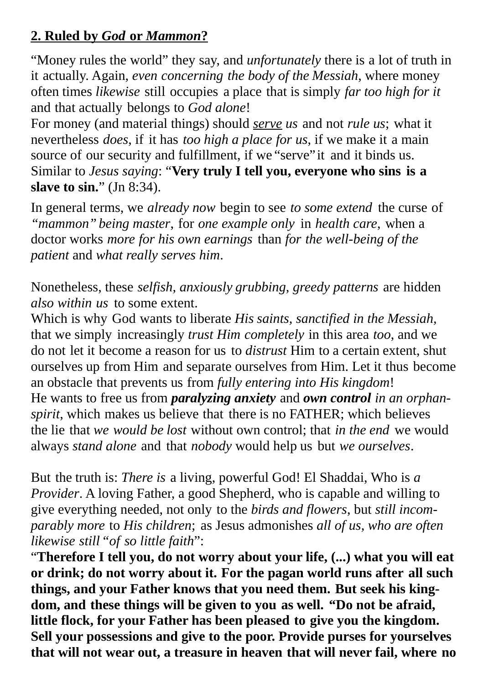## **2. Ruled by** *God* **or** *Mammon***?**

"Money rules the world" they say, and *unfortunately* there is a lot of truth in it actually. Again, *even concerning the body of the Messiah*, where money often times *likewise* still occupies a place that is simply *far too high for it* and that actually belongs to *God alone*!

For money (and material things) should *serve us* and not *rule us*; what it nevertheless *does*, if it has *too high a place for us*, if we make it a main source of our security and fulfillment, if we "serve"it and it binds us. Similar to *Jesus saying*: "**Very truly I tell you, everyone who sins is a slave to sin.**" (Jn 8:34).

In general terms, we *already now* begin to see *to some extend* the curse of *"mammon" being master*, for *one example only* in *health care*, when a doctor works *more for his own earnings* than *for the well-being of the patient* and *what really serves him*.

Nonetheless, these *selfish, anxiously grubbing, greedy patterns* are hidden *also within us* to some extent.

Which is why God wants to liberate *His saints, sanctified in the Messiah,* that we simply increasingly *trust Him completely* in this area *too*, and we do not let it become a reason for us to *distrust* Him to a certain extent, shut ourselves up from Him and separate ourselves from Him. Let it thus become an obstacle that prevents us from *fully entering into His kingdom*! He wants to free us from *paralyzing anxiety* and *own control in an orphanspirit*, which makes us believe that there is no FATHER; which believes the lie that *we would be lost* without own control; that *in the end* we would always *stand alone* and that *nobody* would help us but *we ourselves*.

But the truth is: *There is* a living, powerful God! El Shaddai, Who is *a Provider*. A loving Father, a good Shepherd, who is capable and willing to give everything needed, not only to the *birds and flowers*, but *still incomparably more* to *His children*; as Jesus admonishes *all of us, who are often likewise still"of so little faith*":

"**Therefore I tell you, do not worry about your life, (...) what you will eat or drink; do not worry about it. For the pagan world runs after all such things, and your Father knows that you need them. But seek his kingdom, and these things will be given to you as well. "Do not be afraid, little flock, for your Father has been pleased to give you the kingdom. Sell your possessions and give to the poor. Provide purses for yourselves that will not wear out, a treasure in heaven that will never fail, where no**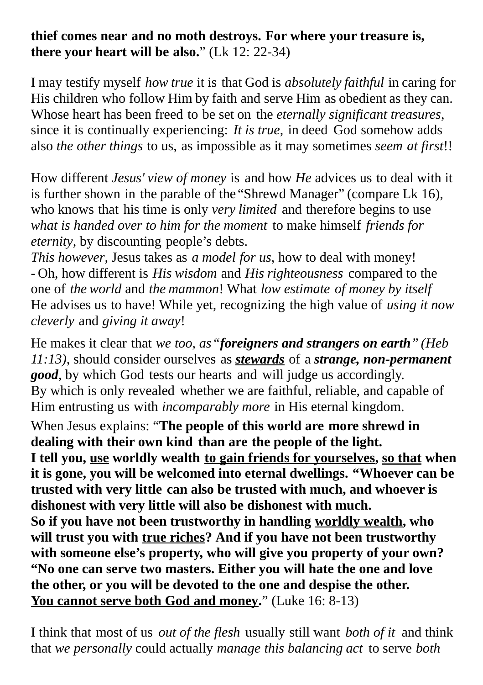## **thief comes near and no moth destroys. For where your treasure is, there your heart will be also.**" (Lk 12: 22-34)

I may testify myself *how true* it is that God is *absolutely faithful* in caring for His children who follow Him by faith and serve Him as obedient as they can. Whose heart has been freed to be set on the *eternally significant treasures*, since it is continually experiencing: *It is true*, in deed God somehow adds also *the other things* to us, as impossible as it may sometimes *seem at first*!!

How different *Jesus' view of money* is and how *He* advices us to deal with it is further shown in the parable of the "Shrewd Manager" (compare Lk 16), who knows that his time is only *very limited* and therefore begins to use *what is handed over to him for the moment* to make himself *friends for eternity*, by discounting people's debts.

*This however*, Jesus takes as *a model for us*, how to deal with money! - Oh, how different is *His wisdom* and *His righteousness* compared to the one of *the world* and *the mammon*! What *low estimate of money by itself* He advises us to have! While yet, recognizing the high value of *using it now cleverly* and *giving it away*!

He makes it clear that *we too, as"foreigners and strangers on earth" (Heb 11:13)*, should consider ourselves as *stewards* of a *strange, non-permanent good*, by which God tests our hearts and will judge us accordingly. By which is only revealed whether we are faithful, reliable, and capable of Him entrusting us with *incomparably more* in His eternal kingdom.

When Jesus explains: "**The people of this world are more shrewd in dealing with their own kind than are the people of the light. I tell you, use worldly wealth to gain friends for yourselves, so that when it is gone, you will be welcomed into eternal dwellings. "Whoever can be trusted with very little can also be trusted with much, and whoever is dishonest with very little will also be dishonest with much. So if you have not been trustworthy in handling worldly wealth, who will trust you with true riches? And if you have not been trustworthy with someone else's property, who will give you property of your own? "No one can serve two masters. Either you will hate the one and love the other, or you will be devoted to the one and despise the other. You cannot serve both God and money.**" (Luke 16: 8-13)

I think that most of us *out of the flesh* usually still want *both of it* and think that *we personally* could actually *manage this balancing act* to serve *both*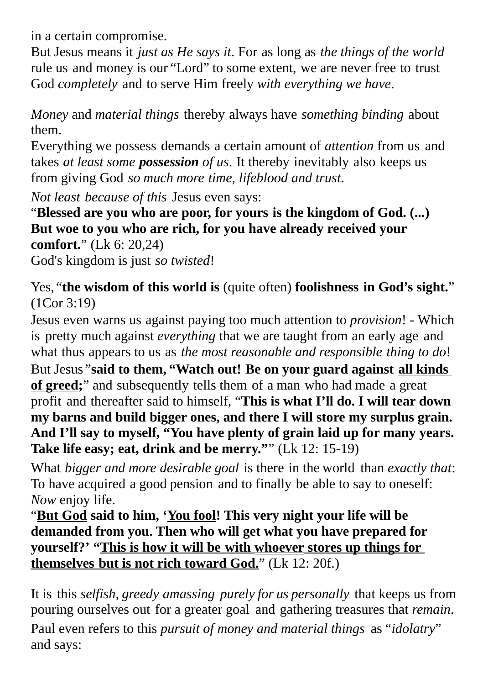in a certain compromise.

But Jesus means it *just as He says it*. For as long as *the things of the world* rule us and money is our "Lord" to some extent, we are never free to trust God *completely* and to serve Him freely *with everything we have*.

*Money* and *material things* thereby always have *something binding* about them.

Everything we possess demands a certain amount of *attention* from us and takes *at least some possession of us*. It thereby inevitably also keeps us from giving God *so much more time, lifeblood and trust*.

*Not least because of this* Jesus even says:

"**Blessed are you who are poor, for yours is the kingdom of God. (...) But woe to you who are rich, for you have already received your comfort.**" (Lk 6: 20,24) God's kingdom is just *so twisted*!

Yes, "**the wisdom of this world is** (quite often) **foolishness in God's sight.**" (1Cor 3:19)

Jesus even warns us against paying too much attention to *provision*! - Which is pretty much against *everything* that we are taught from an early age and what thus appears to us as *the most reasonable and responsible thing to do*! But Jesus "**said to them, "Watch out! Be on your guard against all kinds** 

**of greed;**" and subsequently tells them of a man who had made a great profit and thereafter said to himself, "**This is what I'll do. I will tear down my barns and build bigger ones, and there I will store my surplus grain. And I'll say to myself, "You have plenty of grain laid up for many years. Take life easy; eat, drink and be merry."**" (Lk 12: 15-19)

What *bigger and more desirable goal* is there in the world than *exactly that*: To have acquired a good pension and to finally be able to say to oneself: *Now* enjoy life.

"**But God said to him, 'You fool! This very night your life will be demanded from you. Then who will get what you have prepared for yourself?' " This is how it will be with whoever stores up things for themselves but is not rich toward God.**" (Lk 12: 20f.)

It is this *selfish, greedy amassing purely for us personally* that keeps us from pouring ourselves out for a greater goal and gathering treasures that *remain*. Paul even refers to this *pursuit of money and material things* as*"idolatry*" and says: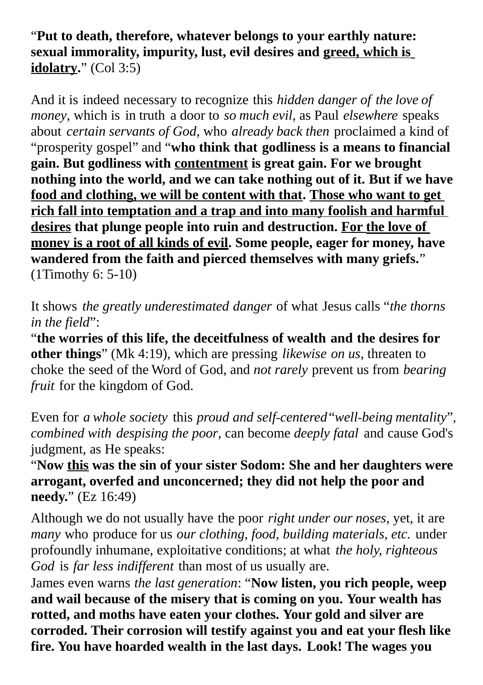#### "**Put to death, therefore, whatever belongs to your earthly nature: sexual immorality, impurity, lust, evil desires and greed, which is idolatry.**" (Col 3:5)

And it is indeed necessary to recognize this *hidden danger of the love of money*, which is in truth a door to *so much evil*, as Paul *elsewhere* speaks about *certain servants of God*, who *already back then* proclaimed a kind of "prosperity gospel" and "**who think that godliness is a means to financial gain. But godliness with contentment is great gain. For we brought nothing into the world, and we can take nothing out of it. But if we have food and clothing, we will be content with that. Those who want to get rich fall into temptation and a trap and into many foolish and harmful desires that plunge people into ruin and destruction. For the love of money is a root of all kinds of evil. Some people, eager for money, have wandered from the faith and pierced themselves with many griefs.**" (1Timothy 6: 5-10)

It shows *the greatly underestimated danger* of what Jesus calls "*the thorns in the field*":

"**the worries of this life, the deceitfulness of wealth and the desires for other things**" (Mk 4:19), which are pressing *likewise on us*, threaten to choke the seed of the Word of God, and *not rarely* prevent us from *bearing fruit* for the kingdom of God.

Even for *a whole society* this *proud and self-centered*"*well-being mentality*", *combined with despising the poor*, can become *deeply fatal* and cause God's judgment, as He speaks:

"**Now this was the sin of your sister Sodom: She and her daughters were arrogant, overfed and unconcerned; they did not help the poor and needy.**" (Ez 16:49)

Although we do not usually have the poor *right under our noses*, yet, it are *many* who produce for us *our clothing, food, building materials, etc.* under profoundly inhumane, exploitative conditions; at what *the holy, righteous God* is *far less indifferent* than most of us usually are.

James even warns *the last generation*: "**Now listen, you rich people, weep and wail because of the misery that is coming on you. Your wealth has rotted, and moths have eaten your clothes. Your gold and silver are corroded. Their corrosion will testify against you and eat your flesh like fire. You have hoarded wealth in the last days. Look! The wages you**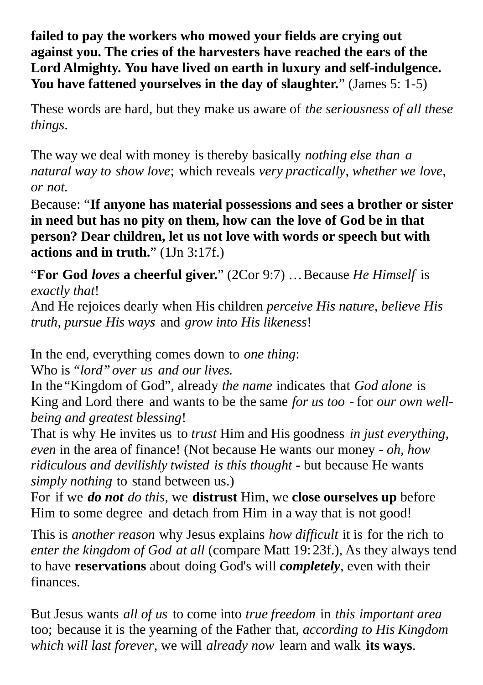**failed to pay the workers who mowed your fields are crying out against you. The cries of the harvesters have reached the ears of the Lord Almighty. You have lived on earth in luxury and self-indulgence. You have fattened yourselves in the day of slaughter.**" (James 5: 1-5)

These words are hard, but they make us aware of *the seriousness of all these things*.

The way we deal with money is thereby basically *nothing else than a natural way to show love*; which reveals *very practically*, *whether we love, or not.*

Because: "**If anyone has material possessions and sees a brother or sister in need but has no pity on them, how can the love of God be in that person? Dear children, let us not love with words or speech but with actions and in truth.**" (1Jn 3:17f.)

"**For God** *loves* **a cheerful giver.**" (2Cor 9:7) …Because *He Himself* is *exactly that*!

And He rejoices dearly when His children *perceive His nature, believe His truth, pursue His ways* and *grow into His likeness*!

In the end, everything comes down to *one thing*:

Who is *"lord"over us and our lives.*

In the "Kingdom of God", already *the name* indicates that *God alone* is King and Lord there and wants to be the same *for us too* - for *our own wellbeing and greatest blessing*!

That is why He invites us to *trust* Him and His goodness *in just everything*, *even* in the area of finance! (Not because He wants our money - *oh, how ridiculous and devilishly twisted is this thought* - but because He wants *simply nothing* to stand between us.)

For if we *do not do this*, we **distrust** Him, we **close ourselves up** before Him to some degree and detach from Him in a way that is not good!

This is *another reason* why Jesus explains *how difficult* it is for the rich to *enter the kingdom of God at all* (compare Matt 19: 23f.), As they always tend to have **reservations** about doing God's will *completely*, even with their finances.

But Jesus wants *all of us* to come into *true freedom* in *this important area*  too; because it is the yearning of the Father that, *according to His Kingdom which will last forever*, we will *already now* learn and walk **its ways**.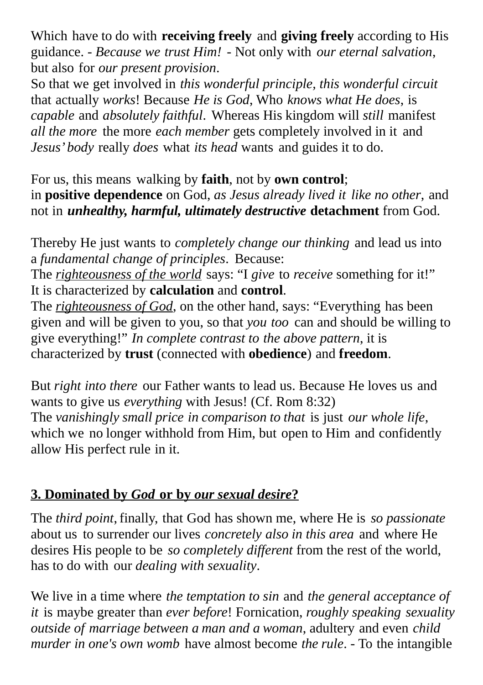Which have to do with **receiving freely** and **giving freely** according to His guidance. - *Because we trust Him!* - Not only with *our eternal salvation*, but also for *our present provision*.

So that we get involved in *this wonderful principle, this wonderful circuit* that actually *works*! Because *He is God*, Who *knows what He does*, is *capable* and *absolutely faithful*. Whereas His kingdom will *still* manifest *all the more* the more *each member* gets completely involved in it and *Jesus' body* really *does* what *its head* wants and guides it to do.

For us, this means walking by **faith**, not by **own control**; in **positive dependence** on God, *as Jesus already lived it like no other*, and not in *unhealthy, harmful, ultimately destructive* **detachment** from God.

Thereby He just wants to *completely change our thinking* and lead us into a *fundamental change of principles*. Because:

The *righteousness of the world* says: "I *give* to *receive* something for it!" It is characterized by **calculation** and **control**.

The *righteousness of God*, on the other hand, says: "Everything has been given and will be given to you, so that *you too* can and should be willing to give everything!" *In complete contrast to the above pattern*, it is characterized by **trust** (connected with **obedience**) and **freedom**.

But *right into there* our Father wants to lead us. Because He loves us and wants to give us *everything* with Jesus! (Cf. Rom 8:32) The *vanishingly small price in comparison to that* is just *our whole life*, which we no longer withhold from Him, but open to Him and confidently allow His perfect rule in it.

#### **3. Dominated by** *God* **or by** *our sexual desire***?**

The *third point*, finally, that God has shown me, where He is *so passionate* about us to surrender our lives *concretely also in this area* and where He desires His people to be *so completely different* from the rest of the world, has to do with our *dealing with sexuality*.

We live in a time where *the temptation to sin* and *the general acceptance of it* is maybe greater than *ever before*! Fornication, *roughly speaking sexuality outside of marriage between a man and a woman*, adultery and even *child murder in one's own womb* have almost become *the rule*. - To the intangible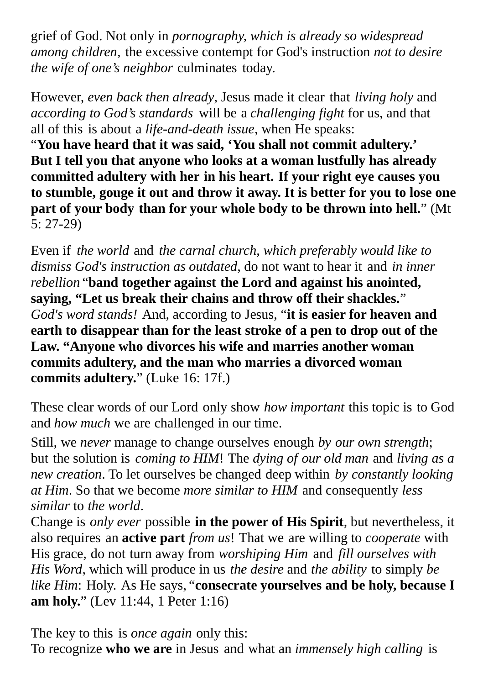grief of God. Not only in *pornography, which is already so widespread among children*, the excessive contempt for God's instruction *not to desire the wife of one's neighbor* culminates today.

However, *even back then already*, Jesus made it clear that *living holy* and *according to God's standards* will be a *challenging fight* for us, and that all of this is about a *life-and-death issue*, when He speaks:

"**You have heard that it was said, 'You shall not commit adultery.' But I tell you that anyone who looks at a woman lustfully has already committed adultery with her in his heart. If your right eye causes you to stumble, gouge it out and throw it away. It is better for you to lose one part of your body than for your whole body to be thrown into hell.**" (Mt 5: 27-29)

Even if *the world* and *the carnal church*, *which preferably would like to dismiss God's instruction as outdated*, do not want to hear it and *in inner rebellion* "**band together against the Lord and against his anointed, saying, "Let us break their chains and throw off their shackles.**" *God's word stands!* And, according to Jesus, "**it is easier for heaven and earth to disappear than for the least stroke of a pen to drop out of the Law. "Anyone who divorces his wife and marries another woman commits adultery, and the man who marries a divorced woman commits adultery.**" (Luke 16: 17f.)

These clear words of our Lord only show *how important* this topic is to God and *how much* we are challenged in our time.

Still, we *never* manage to change ourselves enough *by our own strength*; but the solution is *coming to HIM*! The *dying of our old man* and *living as a new creation*. To let ourselves be changed deep within *by constantly looking at Him*. So that we become *more similar to HIM* and consequently *less similar* to *the world*.

Change is *only ever* possible **in the power of His Spirit**, but nevertheless, it also requires an **active part** *from us*! That we are willing to *cooperate* with His grace, do not turn away from *worshiping Him* and *fill ourselves with His Word*, which will produce in us *the desire* and *the ability* to simply *be like Him*: Holy. As He says, "**consecrate yourselves and be holy, because I am holy.**" (Lev 11:44, 1 Peter 1:16)

The key to this is *once again* only this: To recognize **who we are** in Jesus and what an *immensely high calling* is